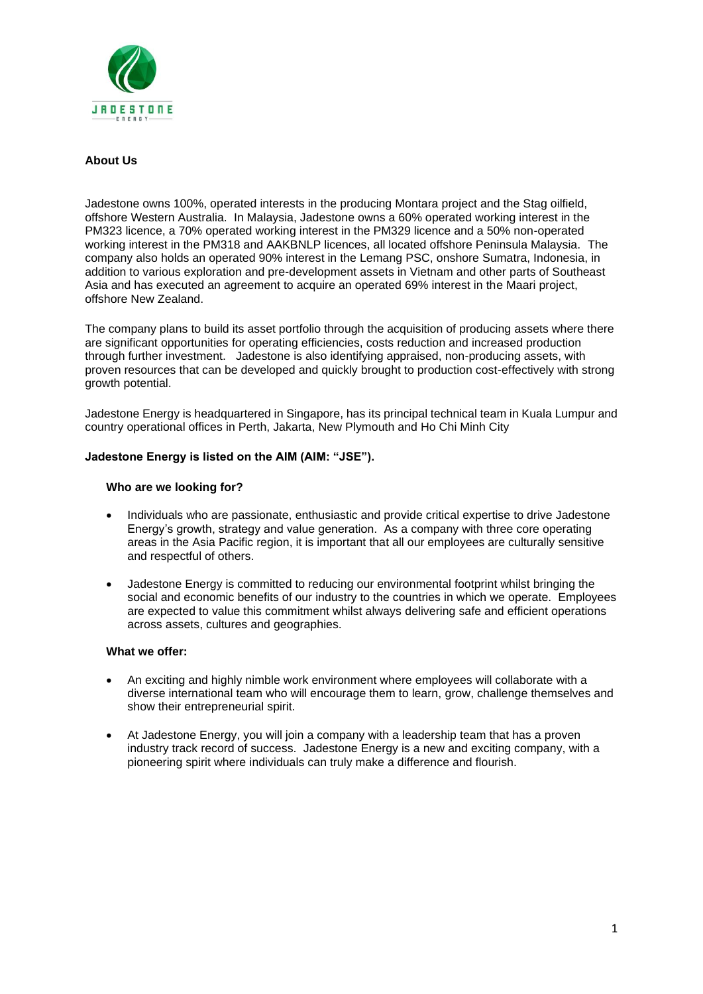

# **About Us**

Jadestone owns 100%, operated interests in the producing Montara project and the Stag oilfield, offshore Western Australia. In Malaysia, Jadestone owns a 60% operated working interest in the PM323 licence, a 70% operated working interest in the PM329 licence and a 50% non-operated working interest in the PM318 and AAKBNLP licences, all located offshore Peninsula Malaysia. The company also holds an operated 90% interest in the Lemang PSC, onshore Sumatra, Indonesia, in addition to various exploration and pre-development assets in Vietnam and other parts of Southeast Asia and has executed an agreement to acquire an operated 69% interest in the Maari project, offshore New Zealand.

The company plans to build its asset portfolio through the acquisition of producing assets where there are significant opportunities for operating efficiencies, costs reduction and increased production through further investment. Jadestone is also identifying appraised, non-producing assets, with proven resources that can be developed and quickly brought to production cost-effectively with strong growth potential.

Jadestone Energy is headquartered in Singapore, has its principal technical team in Kuala Lumpur and country operational offices in Perth, Jakarta, New Plymouth and Ho Chi Minh City

## **Jadestone Energy is listed on the AIM (AIM: "JSE").**

## **Who are we looking for?**

- Individuals who are passionate, enthusiastic and provide critical expertise to drive Jadestone Energy's growth, strategy and value generation. As a company with three core operating areas in the Asia Pacific region, it is important that all our employees are culturally sensitive and respectful of others.
- Jadestone Energy is committed to reducing our environmental footprint whilst bringing the social and economic benefits of our industry to the countries in which we operate. Employees are expected to value this commitment whilst always delivering safe and efficient operations across assets, cultures and geographies.

### **What we offer:**

- An exciting and highly nimble work environment where employees will collaborate with a diverse international team who will encourage them to learn, grow, challenge themselves and show their entrepreneurial spirit.
- At Jadestone Energy, you will join a company with a leadership team that has a proven industry track record of success. Jadestone Energy is a new and exciting company, with a pioneering spirit where individuals can truly make a difference and flourish.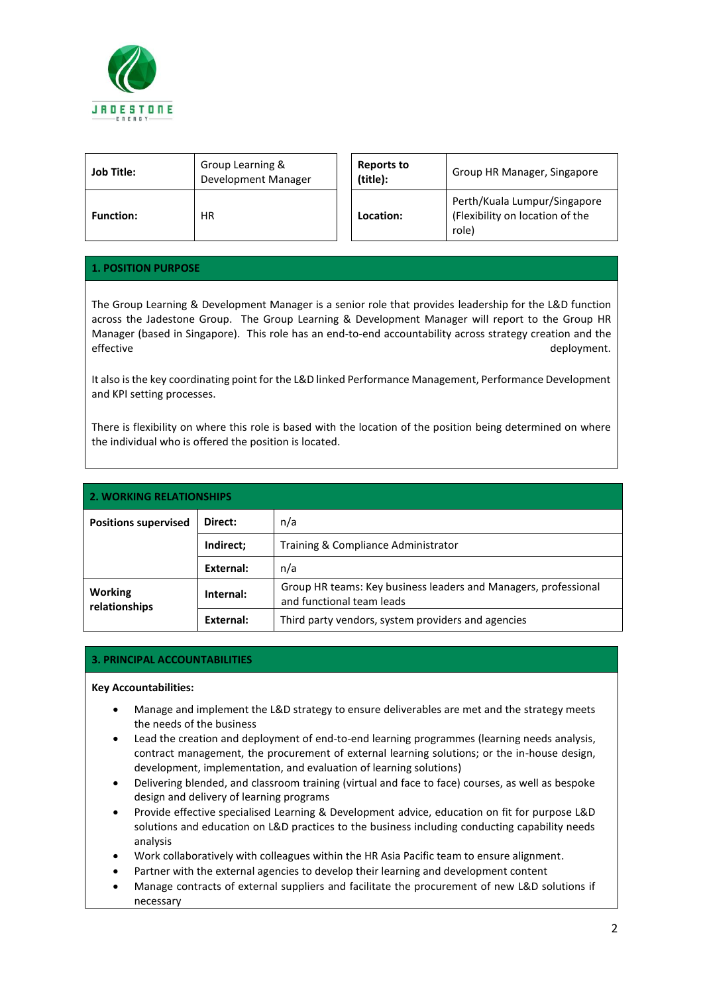

| <b>Job Title:</b> | Group Learning &<br>Development Manager | <b>Reports to</b><br>(title): | Group HR Manager, Singapore                                              |
|-------------------|-----------------------------------------|-------------------------------|--------------------------------------------------------------------------|
| <b>Function:</b>  | ΗR                                      | Location:                     | Perth/Kuala Lumpur/Singapore<br>(Flexibility on location of the<br>role) |

# **1. POSITION PURPOSE**

The Group Learning & Development Manager is a senior role that provides leadership for the L&D function across the Jadestone Group. The Group Learning & Development Manager will report to the Group HR Manager (based in Singapore). This role has an end-to-end accountability across strategy creation and the effective deployment.

It also is the key coordinating point for the L&D linked Performance Management, Performance Development and KPI setting processes.

There is flexibility on where this role is based with the location of the position being determined on where the individual who is offered the position is located.

| <b>2. WORKING RELATIONSHIPS</b> |           |                                                                                              |  |  |
|---------------------------------|-----------|----------------------------------------------------------------------------------------------|--|--|
| <b>Positions supervised</b>     | Direct:   | n/a                                                                                          |  |  |
|                                 | Indirect; | Training & Compliance Administrator                                                          |  |  |
|                                 | External: | n/a                                                                                          |  |  |
| <b>Working</b><br>relationships | Internal: | Group HR teams: Key business leaders and Managers, professional<br>and functional team leads |  |  |
|                                 | External: | Third party vendors, system providers and agencies                                           |  |  |

# **3. PRINCIPAL ACCOUNTABILITIES**

### **Key Accountabilities:**

- Manage and implement the L&D strategy to ensure deliverables are met and the strategy meets the needs of the business
- Lead the creation and deployment of end-to-end learning programmes (learning needs analysis, contract management, the procurement of external learning solutions; or the in-house design, development, implementation, and evaluation of learning solutions)
- Delivering blended, and classroom training (virtual and face to face) courses, as well as bespoke design and delivery of learning programs
- Provide effective specialised Learning & Development advice, education on fit for purpose L&D solutions and education on L&D practices to the business including conducting capability needs analysis
- Work collaboratively with colleagues within the HR Asia Pacific team to ensure alignment.
- Partner with the external agencies to develop their learning and development content
- Manage contracts of external suppliers and facilitate the procurement of new L&D solutions if necessary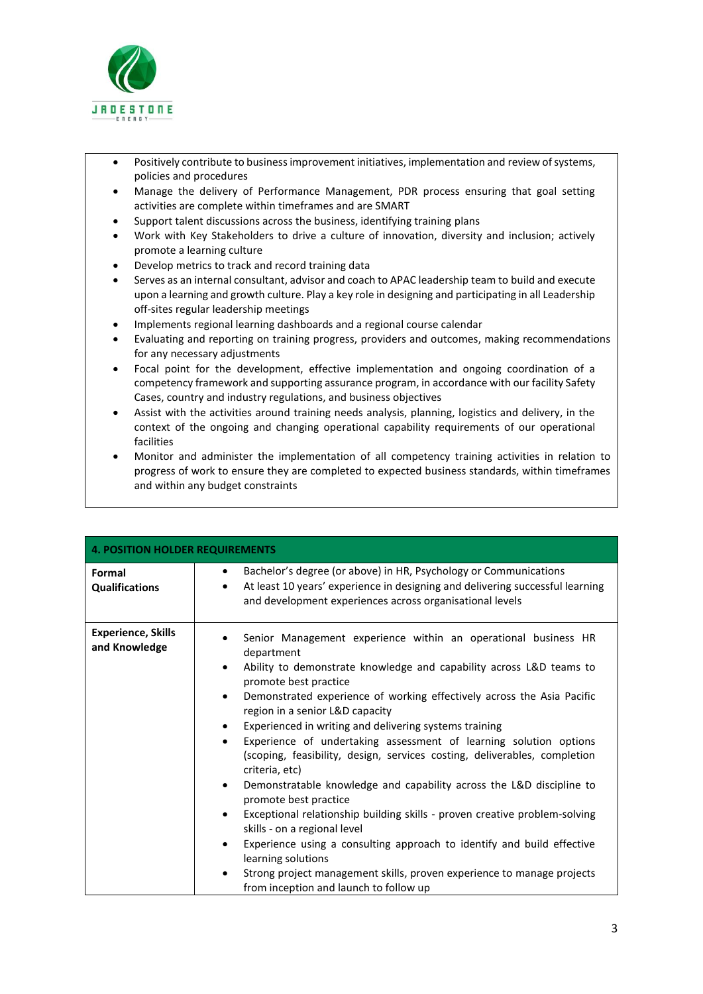

- Positively contribute to business improvement initiatives, implementation and review of systems, policies and procedures
- Manage the delivery of Performance Management, PDR process ensuring that goal setting activities are complete within timeframes and are SMART
- Support talent discussions across the business, identifying training plans
- Work with Key Stakeholders to drive a culture of innovation, diversity and inclusion; actively promote a learning culture
- Develop metrics to track and record training data
- Serves as an internal consultant, advisor and coach to APAC leadership team to build and execute upon a learning and growth culture. Play a key role in designing and participating in all Leadership off-sites regular leadership meetings
- Implements regional learning dashboards and a regional course calendar
- Evaluating and reporting on training progress, providers and outcomes, making recommendations for any necessary adjustments
- Focal point for the development, effective implementation and ongoing coordination of a competency framework and supporting assurance program, in accordance with our facility Safety Cases, country and industry regulations, and business objectives
- Assist with the activities around training needs analysis, planning, logistics and delivery, in the context of the ongoing and changing operational capability requirements of our operational facilities
- Monitor and administer the implementation of all competency training activities in relation to progress of work to ensure they are completed to expected business standards, within timeframes and within any budget constraints

| 4. POSITION HOLDER REQUIREMENTS            |                                                                                                                                                                                                                                                                                                                                                                                                                                                                                                                                                                                                                                                                                                                                                                                                                                                                                                                                                                                                                               |  |  |
|--------------------------------------------|-------------------------------------------------------------------------------------------------------------------------------------------------------------------------------------------------------------------------------------------------------------------------------------------------------------------------------------------------------------------------------------------------------------------------------------------------------------------------------------------------------------------------------------------------------------------------------------------------------------------------------------------------------------------------------------------------------------------------------------------------------------------------------------------------------------------------------------------------------------------------------------------------------------------------------------------------------------------------------------------------------------------------------|--|--|
| Formal<br><b>Qualifications</b>            | Bachelor's degree (or above) in HR, Psychology or Communications<br>$\bullet$<br>At least 10 years' experience in designing and delivering successful learning<br>and development experiences across organisational levels                                                                                                                                                                                                                                                                                                                                                                                                                                                                                                                                                                                                                                                                                                                                                                                                    |  |  |
| <b>Experience, Skills</b><br>and Knowledge | Senior Management experience within an operational business HR<br>department<br>Ability to demonstrate knowledge and capability across L&D teams to<br>$\bullet$<br>promote best practice<br>Demonstrated experience of working effectively across the Asia Pacific<br>$\bullet$<br>region in a senior L&D capacity<br>Experienced in writing and delivering systems training<br>٠<br>Experience of undertaking assessment of learning solution options<br>٠<br>(scoping, feasibility, design, services costing, deliverables, completion<br>criteria, etc)<br>Demonstratable knowledge and capability across the L&D discipline to<br>$\bullet$<br>promote best practice<br>Exceptional relationship building skills - proven creative problem-solving<br>$\bullet$<br>skills - on a regional level<br>Experience using a consulting approach to identify and build effective<br>learning solutions<br>Strong project management skills, proven experience to manage projects<br>٠<br>from inception and launch to follow up |  |  |